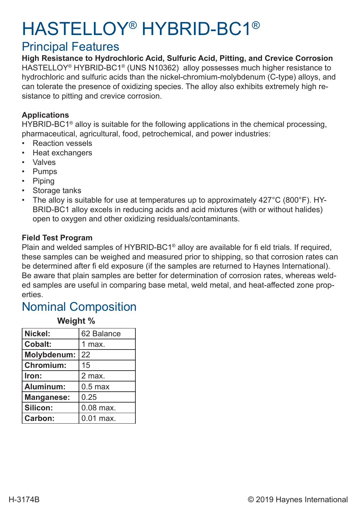# HASTELLOY® HYBRID-BC1®

### Principal Features

**High Resistance to Hydrochloric Acid, Sulfuric Acid, Pitting, and Crevice Corrosion** HASTELLOY<sup>®</sup> HYBRID-BC1<sup>®</sup> (UNS N10362) alloy possesses much higher resistance to hydrochloric and sulfuric acids than the nickel-chromium-molybdenum (C-type) alloys, and can tolerate the presence of oxidizing species. The alloy also exhibits extremely high resistance to pitting and crevice corrosion.

#### **Applications**

HYBRID-BC1<sup>®</sup> alloy is suitable for the following applications in the chemical processing, pharmaceutical, agricultural, food, petrochemical, and power industries:

- **Reaction vessels**
- Heat exchangers
- Valves
- Pumps
- Piping
- Storage tanks
- The alloy is suitable for use at temperatures up to approximately 427°C (800°F). HY-BRID-BC1 alloy excels in reducing acids and acid mixtures (with or without halides) open to oxygen and other oxidizing residuals/contaminants.

#### **Field Test Program**

Plain and welded samples of HYBRID-BC1® alloy are available for fi eld trials. If required, these samples can be weighed and measured prior to shipping, so that corrosion rates can be determined after fi eld exposure (if the samples are returned to Haynes International). Be aware that plain samples are better for determination of corrosion rates, whereas welded samples are useful in comparing base metal, weld metal, and heat-affected zone properties.

### Nominal Composition

| TTVIYIIL 70       |             |
|-------------------|-------------|
| Nickel:           | 62 Balance  |
| <b>Cobalt:</b>    | 1 max.      |
| Molybdenum:       | 22          |
| <b>Chromium:</b>  | 15          |
| Iron:             | 2 max.      |
| Aluminum:         | $0.5$ max   |
| <b>Manganese:</b> | 0.25        |
| Silicon:          | $0.08$ max. |
| Carbon:           | $0.01$ max. |

**Weight %**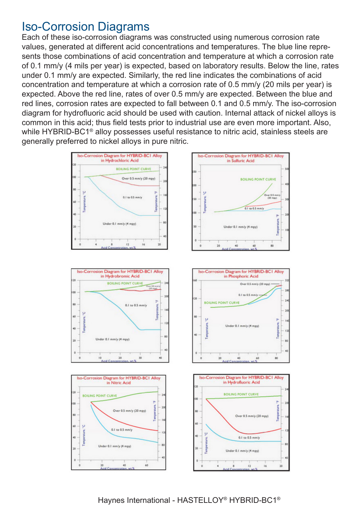### Iso-Corrosion Diagrams

Each of these iso-corrosion diagrams was constructed using numerous corrosion rate values, generated at different acid concentrations and temperatures. The blue line represents those combinations of acid concentration and temperature at which a corrosion rate of 0.1 mm/y (4 mils per year) is expected, based on laboratory results. Below the line, rates under 0.1 mm/y are expected. Similarly, the red line indicates the combinations of acid concentration and temperature at which a corrosion rate of 0.5 mm/y (20 mils per year) is expected. Above the red line, rates of over 0.5 mm/y are expected. Between the blue and red lines, corrosion rates are expected to fall between 0.1 and 0.5 mm/y. The iso-corrosion diagram for hydrofluoric acid should be used with caution. Internal attack of nickel alloys is common in this acid; thus field tests prior to industrial use are even more important. Also, while HYBRID-BC1<sup>®</sup> alloy possesses useful resistance to nitric acid, stainless steels are generally preferred to nickel alloys in pure nitric.

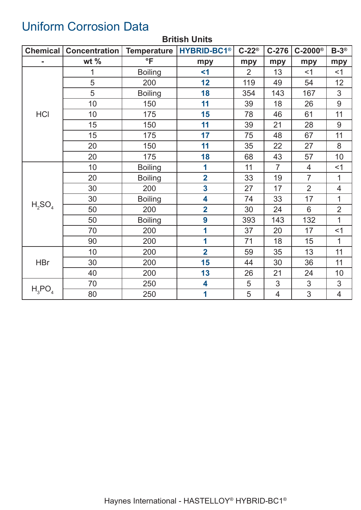# Uniform Corrosion Data

| <b>Chemical</b> | Concentration | <b>Temperature</b> | <b>HYBRID-BC1®</b>      | $C-22^{\circledcirc}$ | $C-276$        | $C-2000$ ®     | $B-3^{\circledR}$ |
|-----------------|---------------|--------------------|-------------------------|-----------------------|----------------|----------------|-------------------|
|                 | wt $%$        | $\overline{\ }$    | mpy                     | mpy                   | mpy            | mpy            | mpy               |
|                 | 1             | <b>Boiling</b>     | $<$ 1                   | $\overline{2}$        | 13             | $<$ 1          | <1                |
|                 | 5             | 200                | 12                      | 119                   | 49             | 54             | 12                |
|                 | 5             | <b>Boiling</b>     | 18                      | 354                   | 143            | 167            | 3                 |
|                 | 10            | 150                | 11                      | 39                    | 18             | 26             | $9$               |
| <b>HCI</b>      | 10            | 175                | 15                      | 78                    | 46             | 61             | 11                |
|                 | 15            | 150                | 11                      | 39                    | 21             | 28             | 9                 |
|                 | 15            | 175                | 17                      | 75                    | 48             | 67             | 11                |
|                 | 20            | 150                | 11                      | 35                    | 22             | 27             | 8                 |
|                 | 20            | 175                | 18                      | 68                    | 43             | 57             | 10                |
|                 | 10            | <b>Boiling</b>     | 1                       | 11                    | $\overline{7}$ | $\overline{4}$ | <1                |
|                 | 20            | <b>Boiling</b>     | $\overline{\mathbf{2}}$ | 33                    | 19             | $\overline{7}$ | $\mathbf 1$       |
|                 | 30            | 200                | $\overline{\mathbf{3}}$ | 27                    | 17             | $\overline{2}$ | $\overline{4}$    |
|                 | 30            | <b>Boiling</b>     | 4                       | 74                    | 33             | 17             | 1                 |
| $H_2SO_4$       | 50            | 200                | $\overline{2}$          | 30                    | 24             | 6              | $\overline{2}$    |
|                 | 50            | <b>Boiling</b>     | 9                       | 393                   | 143            | 132            | $\overline{1}$    |
|                 | 70            | 200                | 1                       | 37                    | 20             | 17             | $<$ 1             |
|                 | 90            | 200                | 1                       | 71                    | 18             | 15             | $\mathbf{1}$      |
|                 | 10            | 200                | $\overline{2}$          | 59                    | 35             | 13             | 11                |
| <b>HBr</b>      | 30            | 200                | 15                      | 44                    | 30             | 36             | 11                |
|                 | 40            | 200                | 13                      | 26                    | 21             | 24             | 10                |
|                 | 70            | 250                | 4                       | 5                     | 3              | 3              | $\mathfrak{S}$    |
| $H_3PO_4$       | 80            | 250                | 1                       | 5                     | 4              | 3              | $\overline{4}$    |

#### **British Units**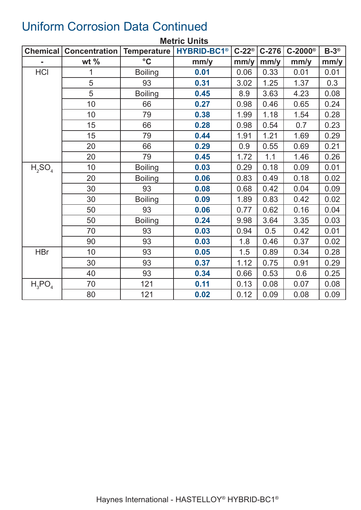|            | <b>Metric Units</b>                           |                 |                               |                       |         |                       |                   |  |  |  |
|------------|-----------------------------------------------|-----------------|-------------------------------|-----------------------|---------|-----------------------|-------------------|--|--|--|
|            | <b>Chemical   Concentration   Temperature</b> |                 | <b>HYBRID-BC1<sup>®</sup></b> | $C-22^{\circledcirc}$ | $C-276$ | $C-2000$ <sup>®</sup> | $B-3^{\circledR}$ |  |  |  |
|            | wt $%$                                        | $\rm ^{\circ}C$ | mm/y                          | mm/y                  | mm/y    | mm/y                  | mm/y              |  |  |  |
| <b>HCI</b> | 1                                             | <b>Boiling</b>  | 0.01                          | 0.06                  | 0.33    | 0.01                  | 0.01              |  |  |  |
|            | 5                                             | 93              | 0.31                          | 3.02                  | 1.25    | 1.37                  | 0.3               |  |  |  |
|            | 5                                             | <b>Boiling</b>  | 0.45                          | 8.9                   | 3.63    | 4.23                  | 0.08              |  |  |  |
|            | 10 <sup>1</sup>                               | 66              | 0.27                          | 0.98                  | 0.46    | 0.65                  | 0.24              |  |  |  |
|            | 10                                            | 79              | 0.38                          | 1.99                  | 1.18    | 1.54                  | 0.28              |  |  |  |
|            | 15                                            | 66              | 0.28                          | 0.98                  | 0.54    | 0.7                   | 0.23              |  |  |  |
|            | 15                                            | 79              | 0.44                          | 1.91                  | 1.21    | 1.69                  | 0.29              |  |  |  |
|            | 20                                            | 66              | 0.29                          | 0.9                   | 0.55    | 0.69                  | 0.21              |  |  |  |
|            | 20                                            | 79              | 0.45                          | 1.72                  | 1.1     | 1.46                  | 0.26              |  |  |  |
| $H_2SO_4$  | 10 <sup>°</sup>                               | <b>Boiling</b>  | 0.03                          | 0.29                  | 0.18    | 0.09                  | 0.01              |  |  |  |
|            | 20                                            | <b>Boiling</b>  | 0.06                          | 0.83                  | 0.49    | 0.18                  | 0.02              |  |  |  |
|            | 30                                            | 93              | 0.08                          | 0.68                  | 0.42    | 0.04                  | 0.09              |  |  |  |
|            | 30                                            | <b>Boiling</b>  | 0.09                          | 1.89                  | 0.83    | 0.42                  | 0.02              |  |  |  |
|            | 50                                            | 93              | 0.06                          | 0.77                  | 0.62    | 0.16                  | 0.04              |  |  |  |
|            | 50                                            | <b>Boiling</b>  | 0.24                          | 9.98                  | 3.64    | 3.35                  | 0.03              |  |  |  |
|            | 70                                            | 93              | 0.03                          | 0.94                  | 0.5     | 0.42                  | 0.01              |  |  |  |
|            | 90                                            | 93              | 0.03                          | 1.8                   | 0.46    | 0.37                  | 0.02              |  |  |  |
| <b>HBr</b> | 10                                            | 93              | 0.05                          | 1.5                   | 0.89    | 0.34                  | 0.28              |  |  |  |
|            | 30                                            | 93              | 0.37                          | 1.12                  | 0.75    | 0.91                  | 0.29              |  |  |  |
|            | 40                                            | 93              | 0.34                          | 0.66                  | 0.53    | 0.6                   | 0.25              |  |  |  |
| $H_3PO_4$  | 70                                            | 121             | 0.11                          | 0.13                  | 0.08    | 0.07                  | 0.08              |  |  |  |
|            | 80                                            | 121             | 0.02                          | 0.12                  | 0.09    | 0.08                  | 0.09              |  |  |  |

### Uniform Corrosion Data Continued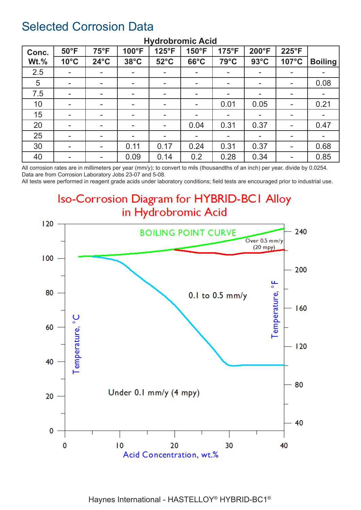### Selected Corrosion Data

| Conc.   | $50^{\circ}$ F           | $75^{\circ}F$            | 100°F                    | 125°F                    | 150°F                    | 175°F                    | 200°F          | 225°F                    |                |
|---------|--------------------------|--------------------------|--------------------------|--------------------------|--------------------------|--------------------------|----------------|--------------------------|----------------|
| $Wt.\%$ | $10^{\circ}$ C           | $24^{\circ}$ C           | $38^{\circ}$ C           | $52^{\circ}$ C           | $66^{\circ}$ C           | 79°C                     | $93^{\circ}$ C | 107°C                    | <b>Boiling</b> |
| 2.5     | $\blacksquare$           | $\overline{\phantom{a}}$ |                          |                          | н.                       | $\blacksquare$           |                | ۰                        |                |
| 5       | $\blacksquare$           | $\overline{\phantom{a}}$ | $\overline{\phantom{a}}$ | $\blacksquare$           | н.                       | $\overline{\phantom{a}}$ | -              | $\blacksquare$           | 0.08           |
| 7.5     | ۰                        | $\,$                     | $\overline{\phantom{a}}$ | $\overline{\phantom{a}}$ | $\overline{\phantom{a}}$ | $\blacksquare$           | ۰.             | $\overline{\phantom{a}}$ |                |
| 10      | $\sim$                   | $\,$                     | $\overline{\phantom{a}}$ | $\blacksquare$           | ۰                        | 0.01                     | 0.05           | $\blacksquare$           | 0.21           |
| 15      | $\blacksquare$           | $\overline{\phantom{a}}$ | $\overline{\phantom{a}}$ |                          | ۰                        | $\blacksquare$           |                | ۰                        |                |
| 20      | $\blacksquare$           | $\overline{\phantom{a}}$ | $\overline{\phantom{a}}$ | $\blacksquare$           | 0.04                     | 0.31                     | 0.37           | $\sim$                   | 0.47           |
| 25      | $\blacksquare$           | $\overline{\phantom{a}}$ | $\overline{\phantom{a}}$ |                          |                          | $\blacksquare$           |                | ۰                        |                |
| 30      | $\overline{\phantom{a}}$ | $\sim$                   | 0.11                     | 0.17                     | 0.24                     | 0.31                     | 0.37           | $\blacksquare$           | 0.68           |
| 40      | $\blacksquare$           | $\overline{\phantom{a}}$ | 0.09                     | 0.14                     | 0.2                      | 0.28                     | 0.34           | ۰                        | 0.85           |

#### **Hydrobromic Acid**

All corrosion rates are in millimeters per year (mm/y); to convert to mils (thousandths of an inch) per year, divide by 0.0254. Data are from Corrosion Laboratory Jobs 23-07 and 5-08.

All tests were performed in reagent grade acids under laboratory conditions; field tests are encouraged prior to industrial use.

### **Iso-Corrosion Diagram for HYBRID-BCI Alloy** in Hydrobromic Acid

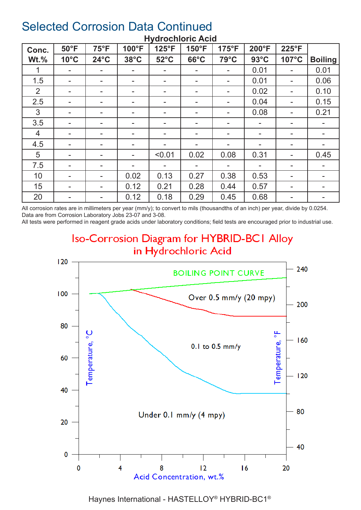| Conc.          | $50^{\circ}$ F           | $75^{\circ}F$            | 100°F                    | 125°F                    | 150°F                    | $175^{\circ}F$           | 200°F          | 225°F                    |                |
|----------------|--------------------------|--------------------------|--------------------------|--------------------------|--------------------------|--------------------------|----------------|--------------------------|----------------|
| $Wt.\%$        | $10^{\circ}$ C           | $24^{\circ}$ C           | $38^{\circ}$ C           | $52^{\circ}$ C           | $66^{\circ}$ C           | 79°C                     | $93^{\circ}$ C | 107°C                    | <b>Boiling</b> |
|                | $\overline{\phantom{a}}$ |                          | ۰.                       |                          |                          | $\overline{\phantom{a}}$ | 0.01           |                          | 0.01           |
| 1.5            | $\,$                     |                          | -                        |                          |                          | $\blacksquare$           | 0.01           | ۰                        | 0.06           |
| 2              | $\blacksquare$           |                          | -                        |                          | $\overline{\phantom{0}}$ | $\overline{\phantom{a}}$ | 0.02           |                          | 0.10           |
| 2.5            | $\overline{\phantom{a}}$ | $\overline{\phantom{a}}$ | $\overline{\phantom{a}}$ |                          | -                        | $\blacksquare$           | 0.04           | ۰                        | 0.15           |
| 3              | $\blacksquare$           | $\overline{\phantom{a}}$ | ۰.                       | $\blacksquare$           | ۰.                       | $\blacksquare$           | 0.08           | ۰.                       | 0.21           |
| 3.5            | $\overline{\phantom{a}}$ | ۰.                       | ۰                        |                          | -                        | $\blacksquare$           |                | ۰.                       |                |
| $\overline{4}$ | $\blacksquare$           | ۰.                       | ۰                        | $\overline{\phantom{a}}$ | ۰.                       | $\blacksquare$           | н.             | ۰.                       |                |
| 4.5            | $\overline{\phantom{a}}$ | $\overline{\phantom{a}}$ | ۰.                       |                          |                          | $\overline{\phantom{m}}$ |                | $\overline{\phantom{a}}$ |                |
| 5              | $\blacksquare$           | $\overline{\phantom{a}}$ | ۰.                       | < 0.01                   | 0.02                     | 0.08                     | 0.31           | ۰.                       | 0.45           |
| 7.5            | $\blacksquare$           |                          | ۰.                       |                          |                          | $\blacksquare$           |                | ۰.                       |                |
| 10             | $\blacksquare$           |                          | 0.02                     | 0.13                     | 0.27                     | 0.38                     | 0.53           | ۰.                       |                |
| 15             | $\blacksquare$           |                          | 0.12                     | 0.21                     | 0.28                     | 0.44                     | 0.57           |                          |                |
| 20             | -                        |                          | 0.12                     | 0.18                     | 0.29                     | 0.45                     | 0.68           | ۰.                       |                |

#### **Hydrochloric Acid**

All corrosion rates are in millimeters per year (mm/y); to convert to mils (thousandths of an inch) per year, divide by 0.0254. Data are from Corrosion Laboratory Jobs 23-07 and 3-08.

All tests were performed in reagent grade acids under laboratory conditions; field tests are encouraged prior to industrial use.

# **Iso-Corrosion Diagram for HYBRID-BCI Alloy** in Hydrochloric Acid

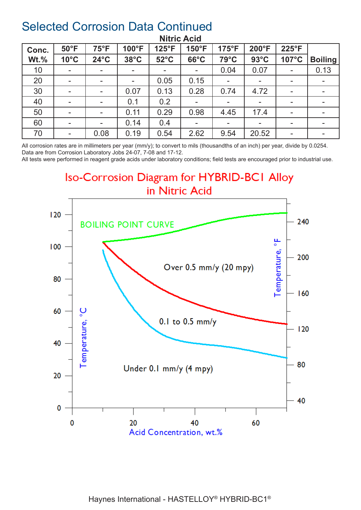| Conc.   | $50^{\circ}$ F           | $75^{\circ}F$            | 100°F                    | 125°F          | 150°F                    | 175°F                    | 200°F          | 225°F                    |                          |
|---------|--------------------------|--------------------------|--------------------------|----------------|--------------------------|--------------------------|----------------|--------------------------|--------------------------|
| $Wt.\%$ | $10^{\circ}$ C           | $24^{\circ}$ C           | $38^{\circ}$ C           | $52^{\circ}$ C | $66^{\circ}$ C           | 79°C                     | $93^{\circ}$ C | 107°C                    | <b>Boiling</b>           |
| 10      | $\overline{\phantom{a}}$ | $\overline{\phantom{a}}$ | $\overline{\phantom{a}}$ |                | ۰.                       | 0.04                     | 0.07           | $\overline{\phantom{a}}$ | 0.13                     |
| 20      | $\overline{\phantom{a}}$ | $\overline{\phantom{a}}$ | $\blacksquare$           | 0.05           | 0.15                     | $\overline{\phantom{a}}$ |                | н.                       |                          |
| 30      | $\blacksquare$           | $\overline{\phantom{a}}$ | 0.07                     | 0.13           | 0.28                     | 0.74                     | 4.72           | $\sim$                   |                          |
| 40      | $\blacksquare$           |                          | 0.1                      | 0.2            | ۰                        | $\blacksquare$           |                | $\sim$                   |                          |
| 50      | $\blacksquare$           |                          | 0.11                     | 0.29           | 0.98                     | 4.45                     | 17.4           | $\sim$                   |                          |
| 60      | $\overline{\phantom{a}}$ | $\overline{\phantom{a}}$ | 0.14                     | 0.4            | $\overline{\phantom{a}}$ | $\overline{\phantom{a}}$ |                | $\overline{\phantom{a}}$ | $\sim$                   |
| 70      | $\blacksquare$           | 0.08                     | 0.19                     | 0.54           | 2.62                     | 9.54                     | 20.52          | $\sim$                   | $\overline{\phantom{a}}$ |

#### **Nitric Acid**

All corrosion rates are in millimeters per year (mm/y); to convert to mils (thousandths of an inch) per year, divide by 0.0254. Data are from Corrosion Laboratory Jobs 24-07, 7-08 and 17-12.

All tests were performed in reagent grade acids under laboratory conditions; field tests are encouraged prior to industrial use.

**Iso-Corrosion Diagram for HYBRID-BCI Alloy** in Nitric Acid

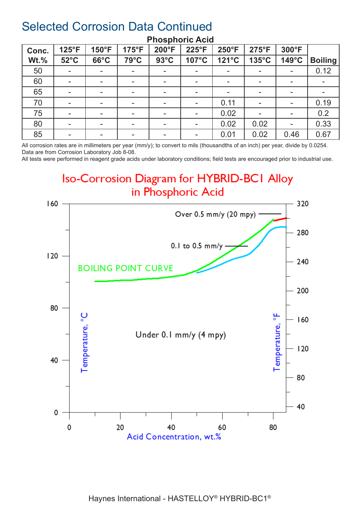| Conc.       | 125°F                    | $150^{\circ}F$           | $175^{\circ}F$           | 200°F                    | 225°F | 250°F                    | $275^{\circ}F$ | 300°F                    |                |
|-------------|--------------------------|--------------------------|--------------------------|--------------------------|-------|--------------------------|----------------|--------------------------|----------------|
| <b>Wt.%</b> | $52^{\circ}$ C           | $66^{\circ}$ C           | 79°C                     | $93^{\circ}$ C           | 107°C | 121°C                    | 135°C          | 149°C                    | <b>Boiling</b> |
| 50          | $\blacksquare$           | ۰.                       |                          |                          | -     | $\blacksquare$           |                | ۰.                       | 0.12           |
| 60          | $\blacksquare$           | -                        | $\overline{\phantom{a}}$ |                          | -     | $\overline{\phantom{a}}$ |                | $\overline{\phantom{a}}$ |                |
| 65          | $\blacksquare$           |                          | $\overline{\phantom{a}}$ |                          |       | $\blacksquare$           |                | $\overline{\phantom{a}}$ |                |
| 70          | $\blacksquare$           | $\overline{\phantom{a}}$ | $\overline{\phantom{a}}$ |                          |       | 0.11                     |                | ۰                        | 0.19           |
| 75          | $\blacksquare$           | ۰.                       | н.                       |                          |       | 0.02                     |                | ۰                        | 0.2            |
| 80          | $\overline{\phantom{a}}$ | ۰.                       | $\overline{\phantom{a}}$ |                          |       | 0.02                     | 0.02           | $\overline{\phantom{0}}$ | 0.33           |
| 85          | $\,$                     | ۰.                       |                          | $\overline{\phantom{a}}$ |       | 0.01                     | 0.02           | 0.46                     | 0.67           |

#### **Phosphoric Acid**

All corrosion rates are in millimeters per year (mm/y); to convert to mils (thousandths of an inch) per year, divide by 0.0254. Data are from Corrosion Laboratory Job 8-08.

All tests were performed in reagent grade acids under laboratory conditions; field tests are encouraged prior to industrial use.

### **Iso-Corrosion Diagram for HYBRID-BCI Alloy** in Phosphoric Acid

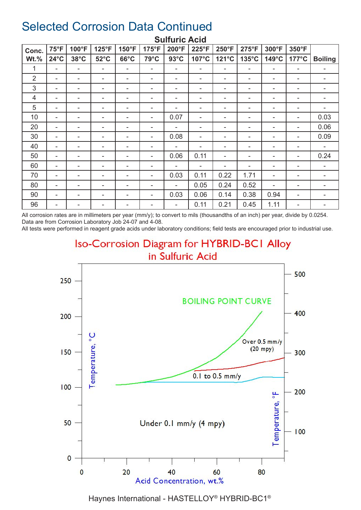| Conc.          | $75^{\circ}F$  | 100°F                    | $125^{\circ}F$ | 150°F          | 175°F | 200°F                    | 225°F | $250^{\circ}F$ | 275°F           | 300°F                    | 350°F           |                |
|----------------|----------------|--------------------------|----------------|----------------|-------|--------------------------|-------|----------------|-----------------|--------------------------|-----------------|----------------|
| <b>Wt.%</b>    | $24^{\circ}$ C | $38^{\circ}$ C           | $52^{\circ}$ C | $66^{\circ}$ C | 79°C  | $93^{\circ}$ C           | 107°C | 121°C          | $135^{\circ}$ C | 149°C                    | $177^{\circ}$ C | <b>Boiling</b> |
| 1              | ۰              | $\overline{\phantom{a}}$ | ۰              | ۰              | ٠     | ۰                        | ۰     | ۰              | ٠               | ۰                        | ۰               |                |
| $\overline{2}$ |                | ۰                        | ۰              | ۰              |       | ۰                        |       |                |                 |                          | ۰               |                |
| 3              | ۰              | $\overline{\phantom{a}}$ | ۰              | ۰              |       | ۰                        | ۰     |                | ۰               | $\overline{\phantom{a}}$ | ۰               | ۰              |
| 4              | ۰              | $\overline{\phantom{a}}$ | ۰              | ۰              | ٠     | ۰                        | ۰     | ۰              | ٠               | ۰                        | ۰               | ۰              |
| 5              | ۰              | ۰                        | -              | -              |       | ۰                        | ۰     | ۰              |                 |                          | ۰               |                |
| 10             | ۰              | ۰                        | -              |                |       | 0.07                     | ۰     | ۰              | ۰               | -                        | ۰               | 0.03           |
| 20             | ۰              | $\overline{\phantom{a}}$ | ۰              | ۰              | ٠     | $\blacksquare$           | ۰     |                | ٠               | ۰                        | ۰               | 0.06           |
| 30             | ۰              | -                        |                | ۰              |       | 0.08                     | ۰     |                |                 |                          | ۰               | 0.09           |
| 40             | ۰              | ۰                        | ۰              | ۰              | ٠     | ۰                        | ۰     |                | ۰               | ۰                        | ۰               | ۰              |
| 50             | ۰              | ۰                        | ۰              | ۰              | ۰     | 0.06                     | 0.11  | ۰              | -               | ۰                        | ۰               | 0.24           |
| 60             | ۰              |                          |                |                |       | ۰                        | ۰     | ٠              | ۰               | ۰                        |                 |                |
| 70             | ۰              | ۰                        | ۰              |                |       | 0.03                     | 0.11  | 0.22           | 1.71            | ۰                        |                 |                |
| 80             | ۰              | -                        | ۰              | ۰              |       | $\overline{\phantom{a}}$ | 0.05  | 0.24           | 0.52            | $\overline{\phantom{0}}$ | ۰               |                |
| 90             | ۰              |                          |                | ۰              |       | 0.03                     | 0.06  | 0.14           | 0.38            | 0.94                     | ۰               |                |
| 96             | ۰              |                          | -              |                |       | $\overline{\phantom{a}}$ | 0.11  | 0.21           | 0.45            | 1.11                     | ۰               | -              |

#### **Sulfuric Acid**

All corrosion rates are in millimeters per year (mm/y); to convert to mils (thousandths of an inch) per year, divide by 0.0254. Data are from Corrosion Laboratory Job 24-07 and 4-08.

All tests were performed in reagent grade acids under laboratory conditions; field tests are encouraged prior to industrial use.

### **Iso-Corrosion Diagram for HYBRID-BCI Alloy** in Sulfuric Acid

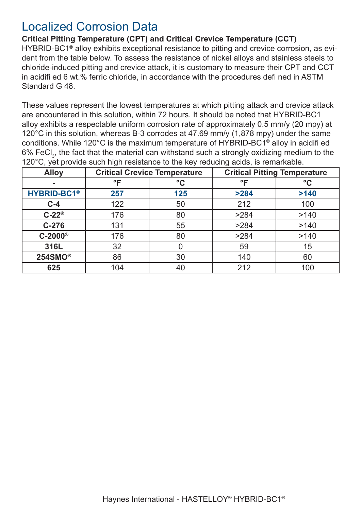### Localized Corrosion Data

**Critical Pitting Temperature (CPT) and Critical Crevice Temperature (CCT)** HYBRID-BC1<sup>®</sup> alloy exhibits exceptional resistance to pitting and crevice corrosion, as evident from the table below. To assess the resistance of nickel alloys and stainless steels to chloride-induced pitting and crevice attack, it is customary to measure their CPT and CCT in acidifi ed 6 wt.% ferric chloride, in accordance with the procedures defi ned in ASTM Standard G 48.

These values represent the lowest temperatures at which pitting attack and crevice attack are encountered in this solution, within 72 hours. It should be noted that HYBRID-BC1 alloy exhibits a respectable uniform corrosion rate of approximately 0.5 mm/y (20 mpy) at 120°C in this solution, whereas B-3 corrodes at 47.69 mm/y (1,878 mpy) under the same conditions. While 120°C is the maximum temperature of HYBRID-BC1® alloy in acidifi ed 6% FeCl $_{\textrm{\tiny{\textrm{3}}}}$  the fact that the material can withstand such a strongly oxidizing medium to the 120°C, yet provide such high resistance to the key reducing acids, is remarkable.

| <b>Alloy</b>                  |                    | <b>Critical Crevice Temperature</b> | <b>Critical Pitting Temperature</b> |                 |  |
|-------------------------------|--------------------|-------------------------------------|-------------------------------------|-----------------|--|
| $\sim$                        | $\circ \mathsf{F}$ | $\rm ^{\circ}C$                     | $\mathsf{P}$                        | $\rm ^{\circ}C$ |  |
| <b>HYBRID-BC1<sup>®</sup></b> | 257                | 125                                 | >284                                | >140            |  |
| $C-4$                         | 122                | 50                                  | 212                                 | 100             |  |
| $C-22^{\circ}$                | 176                | 80                                  | >284                                | >140            |  |
| $C-276$                       | 131                | 55                                  | >284                                | >140            |  |
| $C-2000$ <sup>®</sup>         | 176                | 80                                  | >284                                | >140            |  |
| 316L                          | 32                 |                                     | 59                                  | 15              |  |
| 254SMO <sup>®</sup>           | 86                 | 30                                  | 140                                 | 60              |  |
| 625                           | 104                | 40                                  | 212                                 | 100             |  |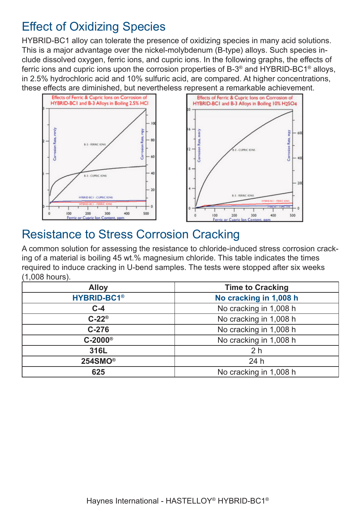# Effect of Oxidizing Species

HYBRID-BC1 alloy can tolerate the presence of oxidizing species in many acid solutions. This is a major advantage over the nickel-molybdenum (B-type) alloys. Such species include dissolved oxygen, ferric ions, and cupric ions. In the following graphs, the effects of ferric ions and cupric ions upon the corrosion properties of B-3® and HYBRID-BC1® alloys, in 2.5% hydrochloric acid and 10% sulfuric acid, are compared. At higher concentrations, these effects are diminished, but nevertheless represent a remarkable achievement.





### Resistance to Stress Corrosion Cracking

A common solution for assessing the resistance to chloride-induced stress corrosion cracking of a material is boiling 45 wt.% magnesium chloride. This table indicates the times required to induce cracking in U-bend samples. The tests were stopped after six weeks (1,008 hours).

| <b>Alloy</b>                  | <b>Time to Cracking</b> |
|-------------------------------|-------------------------|
| <b>HYBRID-BC1<sup>®</sup></b> | No cracking in 1,008 h  |
| $C-4$                         | No cracking in 1,008 h  |
| $C-22^\circ$                  | No cracking in 1,008 h  |
| $C-276$                       | No cracking in 1,008 h  |
| $C-2000$ <sup>®</sup>         | No cracking in 1,008 h  |
| 316L                          | 2 <sub>h</sub>          |
| 254SMO <sup>®</sup>           | 24h                     |
| 625                           | No cracking in 1,008 h  |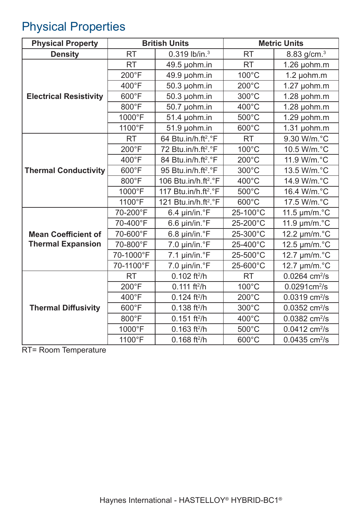# Physical Properties

| <b>Physical Property</b>      |           | <b>British Units</b>             |                 | <b>Metric Units</b>          |
|-------------------------------|-----------|----------------------------------|-----------------|------------------------------|
| <b>Density</b>                | <b>RT</b> | 0.319 lb/in. <sup>3</sup>        | <b>RT</b>       | 8.83 g/cm. <sup>3</sup>      |
|                               | <b>RT</b> | 49.5 µohm.in                     | <b>RT</b>       | 1.26 µohm.m                  |
|                               | 200°F     | 49.9 µohm.in                     | 100°C           | $1.2 \mu$ ohm.m              |
|                               | 400°F     | 50.3 µohm.in                     | $200^{\circ}$ C | 1.27 µohm.m                  |
| <b>Electrical Resistivity</b> | 600°F     | 50.3 µohm.in                     | 300°C           | $1.28 \mu$ ohm.m             |
|                               | 800°F     | 50.7 µohm.in                     | 400°C           | $1.28$ µohm.m                |
|                               | 1000°F    | 51.4 µohm.in                     | 500°C           | $1.29$ µohm.m                |
|                               | 1100°F    | 51.9 µohm.in                     | $600^{\circ}$ C | $1.31$ µohm.m                |
|                               | <b>RT</b> | 64 Btu.in/h.ft <sup>2</sup> .°F  | <b>RT</b>       | 9.30 W/m.°C                  |
|                               | 200°F     | 72 Btu.in/h.ft <sup>2</sup> .°F  | 100°C           | 10.5 W/m.°C                  |
|                               | 400°F     | 84 Btu.in/h.ft <sup>2</sup> .°F  | $200^{\circ}$ C | 11.9 W/m.°C                  |
| <b>Thermal Conductivity</b>   | 600°F     | 95 Btu.in/h.ft <sup>2</sup> .°F  | 300°C           | 13.5 W/m.°C                  |
|                               | 800°F     | 106 Btu.in/h.ft <sup>2</sup> .°F | $400^{\circ}$ C | 14.9 W/m.°C                  |
|                               | 1000°F    | 117 Btu.in/h.ft <sup>2</sup> .°F | 500°C           | 16.4 W/m.°C                  |
|                               | 1100°F    | 121 Btu.in/h.ft <sup>2</sup> .°F | 600°C           | 17.5 W/m.°C                  |
|                               | 70-200°F  | 6.4 µin/in.°F                    | 25-100°C        | 11.5 $\mu$ m/m. $^{\circ}$ C |
|                               | 70-400°F  | 6.6 µin/in.°F                    | 25-200°C        | 11.9 $\mu$ m/m. $\degree$ C  |
| <b>Mean Coefficient of</b>    | 70-600°F  | 6.8 µin/in.°F                    | 25-300°C        | 12.2 µm/m.°C                 |
| <b>Thermal Expansion</b>      | 70-800°F  | 7.0 µin/in.°F                    | 25-400°C        | 12.5 µm/m.°C                 |
|                               | 70-1000°F | $7.1 \mu$ in/in. $\degree$ F     | 25-500°C        | 12.7 µm/m.°C                 |
|                               | 70-1100°F | 7.0 µin/in.°F                    | 25-600°C        | 12.7 µm/m.°C                 |
|                               | <b>RT</b> | $0.102$ ft <sup>2</sup> /h       | <b>RT</b>       | $0.0264$ cm <sup>2</sup> /s  |
|                               | 200°F     | $0.111$ ft <sup>2</sup> /h       | 100°C           | $0.0291$ cm <sup>2</sup> /s  |
|                               | 400°F     | $0.124$ ft <sup>2</sup> /h       | $200^{\circ}$ C | $0.0319$ cm <sup>2</sup> /s  |
| <b>Thermal Diffusivity</b>    | 600°F     | $0.138$ ft <sup>2</sup> /h       | 300°C           | $0.0352$ cm <sup>2</sup> /s  |
|                               | 800°F     | $0.151$ ft <sup>2</sup> /h       | 400°C           | $0.0382$ cm <sup>2</sup> /s  |
|                               | 1000°F    | $0.163$ ft <sup>2</sup> /h       | 500°C           | $0.0412$ cm <sup>2</sup> /s  |
|                               | 1100°F    | $0.168$ ft <sup>2</sup> /h       | 600°C           | $0.0435$ cm <sup>2</sup> /s  |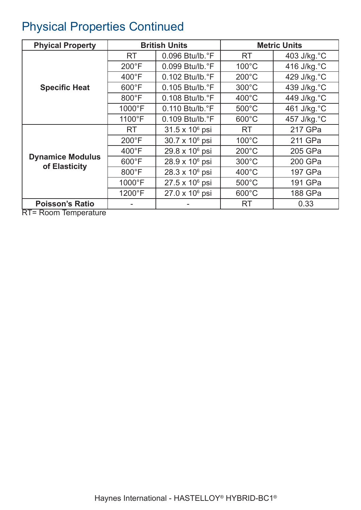# Physical Properties Continued

| <b>Phyical Property</b>                            |                  | <b>British Units</b>        |                 | <b>Metric Units</b> |
|----------------------------------------------------|------------------|-----------------------------|-----------------|---------------------|
|                                                    | RT.              | $0.096$ Btu/lb. $\degree$ F | RT.             | 403 J/kg.°C         |
|                                                    | $200^{\circ}$ F  | 0.099 Btu/lb.°F             | $100^{\circ}$ C | 416 J/kg.°C         |
|                                                    | $400^{\circ}$ F  | $0.102$ Btu/lb. $\degree$ F | $200^{\circ}$ C | 429 J/kg.°C         |
| <b>Specific Heat</b>                               | $600^{\circ}$ F  | $0.105$ Btu/lb. $\degree$ F | $300^{\circ}$ C | 439 J/kg.°C         |
|                                                    | 800°F            | $0.108$ Btu/lb. $\degree$ F | $400^{\circ}$ C | 449 J/kg.°C         |
|                                                    | 1000°F           | 0.110 Btu/lb. °F            | $500^{\circ}$ C | 461 J/kg.°C         |
|                                                    | 1100°F           | $0.109$ Btu/lb. $\degree$ F | $600^{\circ}$ C | 457 J/kg. °C        |
|                                                    | <b>RT</b>        | $31.5 \times 10^6$ psi      | <b>RT</b>       | 217 GPa             |
|                                                    | $200^{\circ}$ F  | 30.7 x 10 <sup>6</sup> psi  | $100^{\circ}$ C | 211 GPa             |
|                                                    | $400^{\circ}$ F  | 29.8 x 10 <sup>6</sup> psi  | $200^{\circ}$ C | 205 GPa             |
| <b>Dynamice Modulus</b><br>of Elasticity           | $600^{\circ}$ F  | $28.9 \times 10^6$ psi      | $300^{\circ}$ C | 200 GPa             |
|                                                    | $800^{\circ}$ F  | 28.3 x 10 <sup>6</sup> psi  | $400^{\circ}$ C | 197 GPa             |
|                                                    | $1000^{\circ}$ F | $27.5 \times 10^6$ psi      | $500^{\circ}$ C | 191 GPa             |
|                                                    | 1200°F           | $27.0 \times 10^6$ psi      | $600^{\circ}$ C | 188 GPa             |
| <b>Poisson's Ratio</b><br>$\overline{\phantom{1}}$ |                  |                             | <b>RT</b>       | 0.33                |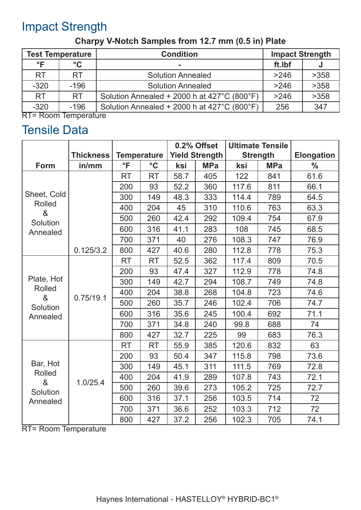# Impact Strength

| <b>Test Temperature</b>                   |                 | <b>Condition</b>                            | <b>Impact Strength</b> |      |
|-------------------------------------------|-----------------|---------------------------------------------|------------------------|------|
| $\circ$ F                                 | $\rm ^{\circ}C$ |                                             | ft.lbf                 |      |
| <b>RT</b>                                 | <b>RT</b>       | <b>Solution Annealed</b>                    | >246                   | >358 |
| $-320$                                    | $-196$          | <b>Solution Annealed</b>                    | >246                   | >358 |
| <b>RT</b>                                 | <b>RT</b>       | Solution Annealed + 2000 h at 427°C (800°F) | >246                   | >358 |
| $-320$<br>$DT - Do can To know a tr in a$ | $-196$          | Solution Annealed + 2000 h at 427°C (800°F) | 256                    | 347  |

### **Charpy V-Notch Samples from 12.7 mm (0.5 in) Plate**

RT= Room Temperature

### Tensile Data

|                                                        |                  |                          |                    | 0.2% Offset |                       | <b>Ultimate Tensile</b> |            |                   |
|--------------------------------------------------------|------------------|--------------------------|--------------------|-------------|-----------------------|-------------------------|------------|-------------------|
|                                                        | <b>Thickness</b> |                          | <b>Temperature</b> |             | <b>Yield Strength</b> | <b>Strength</b>         |            | <b>Elongation</b> |
| <b>Form</b>                                            | in/mm            | $\overline{\phantom{a}}$ | $\rm ^{\circ}C$    | ksi         | <b>MPa</b>            | ksi                     | <b>MPa</b> | $\frac{0}{0}$     |
| Sheet, Cold                                            |                  | <b>RT</b>                | <b>RT</b>          | 58.7        | 405                   | 122                     | 841        | 61.6              |
|                                                        |                  | 200                      | 93                 | 52.2        | 360                   | 117.6                   | 811        | 66.1              |
|                                                        |                  | 300                      | 149                | 48.3        | 333                   | 114.4                   | 789        | 64.5              |
| <b>Rolled</b><br>&                                     |                  | 400                      | 204                | 45          | 310                   | 110.6                   | 763        | 63.3              |
| Solution                                               |                  | 500                      | 260                | 42.4        | 292                   | 109.4                   | 754        | 67.9              |
| Annealed                                               |                  | 600                      | 316                | 41.1        | 283                   | 108                     | 745        | 68.5              |
|                                                        |                  | 700                      | 371                | 40          | 276                   | 108.3                   | 747        | 76.9              |
|                                                        | 0.125/3.2        | 800                      | 427                | 40.6        | 280                   | 112.8                   | 778        | 75.3              |
|                                                        | 0.75/19.1        | <b>RT</b>                | <b>RT</b>          | 52.5        | 362                   | 117.4                   | 809        | 70.5              |
|                                                        |                  | 200                      | 93                 | 47.4        | 327                   | 112.9                   | 778        | 74.8              |
| Plate, Hot                                             |                  | 300                      | 149                | 42.7        | 294                   | 108.7                   | 749        | 74.8              |
| <b>Rolled</b><br>&                                     |                  | 400                      | 204                | 38.8        | 268                   | 104.8                   | 723        | 74.6              |
| Solution                                               |                  | 500                      | 260                | 35.7        | 246                   | 102.4                   | 706        | 74.7              |
| Annealed                                               |                  | 600                      | 316                | 35.6        | 245                   | 100.4                   | 692        | 71.1              |
|                                                        |                  | 700                      | 371                | 34.8        | 240                   | 99.8                    | 688        | 74                |
|                                                        |                  | 800                      | 427                | 32.7        | 225                   | 99                      | 683        | 76.3              |
|                                                        | 1.0/25.4         | <b>RT</b>                | <b>RT</b>          | 55.9        | 385                   | 120.6                   | 832        | 63                |
|                                                        |                  | 200                      | 93                 | 50.4        | 347                   | 115.8                   | 798        | 73.6              |
| Bar, Hot<br><b>Rolled</b><br>&<br>Solution<br>Annealed |                  | 300                      | 149                | 45.1        | 311                   | 111.5                   | 769        | 72.8              |
|                                                        |                  | 400                      | 204                | 41.9        | 289                   | 107.8                   | 743        | 72.1              |
|                                                        |                  | 500                      | 260                | 39.6        | 273                   | 105.2                   | 725        | 72.7              |
|                                                        |                  | 600                      | 316                | 37.1        | 256                   | 103.5                   | 714        | 72                |
|                                                        |                  | 700                      | 371                | 36.6        | 252                   | 103.3                   | 712        | 72                |
|                                                        |                  | 800                      | 427                | 37.2        | 256                   | 102.3                   | 705        | 74.1              |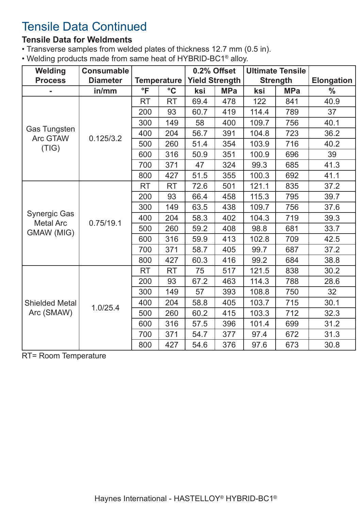# Tensile Data Continued

#### **Tensile Data for Weldments**

- Transverse samples from welded plates of thickness 12.7 mm (0.5 in).
- Welding products made from same heat of HYBRID-BC1® alloy.

| Welding                                 | <b>Consumable</b> |                    |                 | 0.2% Offset           |            |                 | <b>Ultimate Tensile</b> |                   |
|-----------------------------------------|-------------------|--------------------|-----------------|-----------------------|------------|-----------------|-------------------------|-------------------|
| <b>Process</b>                          | <b>Diameter</b>   | <b>Temperature</b> |                 | <b>Yield Strength</b> |            | <b>Strength</b> |                         | <b>Elongation</b> |
|                                         | in/mm             | $\overline{\ }$    | $\rm ^{\circ}C$ | ksi                   | <b>MPa</b> | ksi             | <b>MPa</b>              | $\frac{0}{0}$     |
|                                         |                   | <b>RT</b>          | <b>RT</b>       | 69.4                  | 478        | 122             | 841                     | 40.9              |
|                                         |                   | 200                | 93              | 60.7                  | 419        | 114.4           | 789                     | 37                |
|                                         |                   | 300                | 149             | 58                    | 400        | 109.7           | 756                     | 40.1              |
| <b>Gas Tungsten</b><br>Arc GTAW         | 0.125/3.2         | 400                | 204             | 56.7                  | 391        | 104.8           | 723                     | 36.2              |
| (TIG)                                   |                   | 500                | 260             | 51.4                  | 354        | 103.9           | 716                     | 40.2              |
|                                         |                   | 600                | 316             | 50.9                  | 351        | 100.9           | 696                     | 39                |
|                                         |                   | 700                | 371             | 47                    | 324        | 99.3            | 685                     | 41.3              |
|                                         |                   | 800                | 427             | 51.5                  | 355        | 100.3           | 692                     | 41.1              |
|                                         | 0.75/19.1         | <b>RT</b>          | <b>RT</b>       | 72.6                  | 501        | 121.1           | 835                     | 37.2              |
|                                         |                   | 200                | 93              | 66.4                  | 458        | 115.3           | 795                     | 39.7              |
|                                         |                   | 300                | 149             | 63.5                  | 438        | 109.7           | 756                     | 37.6              |
| <b>Synergic Gas</b><br><b>Metal Arc</b> |                   | 400                | 204             | 58.3                  | 402        | 104.3           | 719                     | 39.3              |
| <b>GMAW (MIG)</b>                       |                   | 500                | 260             | 59.2                  | 408        | 98.8            | 681                     | 33.7              |
|                                         |                   | 600                | 316             | 59.9                  | 413        | 102.8           | 709                     | 42.5              |
|                                         |                   | 700                | 371             | 58.7                  | 405        | 99.7            | 687                     | 37.2              |
|                                         |                   | 800                | 427             | 60.3                  | 416        | 99.2            | 684                     | 38.8              |
|                                         | 1.0/25.4          | <b>RT</b>          | <b>RT</b>       | 75                    | 517        | 121.5           | 838                     | 30.2              |
|                                         |                   | 200                | 93              | 67.2                  | 463        | 114.3           | 788                     | 28.6              |
| <b>Shielded Metal</b><br>Arc (SMAW)     |                   | 300                | 149             | 57                    | 393        | 108.8           | 750                     | 32                |
|                                         |                   | 400                | 204             | 58.8                  | 405        | 103.7           | 715                     | 30.1              |
|                                         |                   | 500                | 260             | 60.2                  | 415        | 103.3           | 712                     | 32.3              |
|                                         |                   | 600                | 316             | 57.5                  | 396        | 101.4           | 699                     | 31.2              |
|                                         |                   | 700                | 371             | 54.7                  | 377        | 97.4            | 672                     | 31.3              |
|                                         |                   | 800                | 427             | 54.6                  | 376        | 97.6            | 673                     | 30.8              |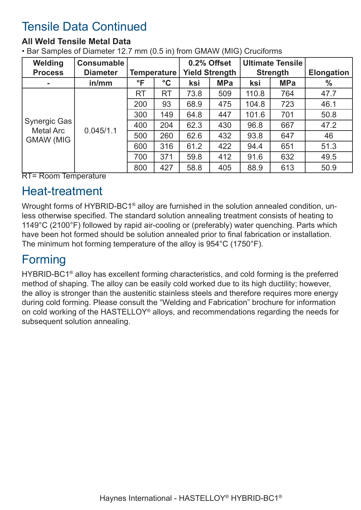# Tensile Data Continued

#### **All Weld Tensile Metal Data**

• Bar Samples of Diameter 12.7 mm (0.5 in) from GMAW (MIG) Cruciforms

| Welding                           | <b>Consumable</b> |                    |                 |                       | 0.2% Offset |                 | <b>Ultimate Tensile</b> |                   |
|-----------------------------------|-------------------|--------------------|-----------------|-----------------------|-------------|-----------------|-------------------------|-------------------|
| <b>Diameter</b><br><b>Process</b> |                   | <b>Temperature</b> |                 | <b>Yield Strength</b> |             | <b>Strength</b> |                         | <b>Elongation</b> |
| ۰                                 | in/mm             | $\mathsf{P}$       | $\rm ^{\circ}C$ | ksi                   | <b>MPa</b>  | ksi             | <b>MPa</b>              | $\frac{0}{0}$     |
|                                   | 0.045/1.1         | RT                 | RT              | 73.8                  | 509         | 110.8           | 764                     | 47.7              |
|                                   |                   | 200                | 93              | 68.9                  | 475         | 104.8           | 723                     | 46.1              |
|                                   |                   | 300                | 149             | 64.8                  | 447         | 101.6           | 701                     | 50.8              |
| Synergic Gas<br><b>Metal Arc</b>  |                   | 400                | 204             | 62.3                  | 430         | 96.8            | 667                     | 47.2              |
| <b>GMAW (MIG</b><br>—             |                   | 500                | 260             | 62.6                  | 432         | 93.8            | 647                     | 46                |
|                                   |                   | 600                | 316             | 61.2                  | 422         | 94.4            | 651                     | 51.3              |
|                                   |                   | 700                | 371             | 59.8                  | 412         | 91.6            | 632                     | 49.5              |
|                                   |                   | 800                | 427             | 58.8                  | 405         | 88.9            | 613                     | 50.9              |

RT= Room Temperature

### Heat-treatment

Wrought forms of HYBRID-BC1<sup>®</sup> alloy are furnished in the solution annealed condition, unless otherwise specified. The standard solution annealing treatment consists of heating to 1149°C (2100°F) followed by rapid air-cooling or (preferably) water quenching. Parts which have been hot formed should be solution annealed prior to final fabrication or installation. The minimum hot forming temperature of the alloy is 954°C (1750°F).

### Forming

HYBRID-BC1® alloy has excellent forming characteristics, and cold forming is the preferred method of shaping. The alloy can be easily cold worked due to its high ductility; however, the alloy is stronger than the austenitic stainless steels and therefore requires more energy during cold forming. Please consult the "Welding and Fabrication" brochure for information on cold working of the HASTELLOY® alloys, and recommendations regarding the needs for subsequent solution annealing.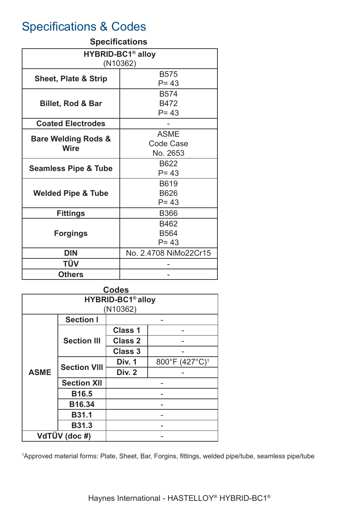### Specifications & Codes

#### **Specifications**

| <b>HYBRID-BC1<sup>®</sup> alloy</b>           |                       |  |  |  |  |  |
|-----------------------------------------------|-----------------------|--|--|--|--|--|
| (N10362)                                      |                       |  |  |  |  |  |
| <b>Sheet, Plate &amp; Strip</b>               | <b>B575</b>           |  |  |  |  |  |
|                                               | $P = 43$              |  |  |  |  |  |
|                                               | <b>B574</b>           |  |  |  |  |  |
| <b>Billet, Rod &amp; Bar</b>                  | B472                  |  |  |  |  |  |
|                                               | $P = 43$              |  |  |  |  |  |
| <b>Coated Electrodes</b>                      |                       |  |  |  |  |  |
|                                               | <b>ASME</b>           |  |  |  |  |  |
| <b>Bare Welding Rods &amp;</b><br><b>Wire</b> | <b>Code Case</b>      |  |  |  |  |  |
|                                               | No. 2653              |  |  |  |  |  |
|                                               | B622                  |  |  |  |  |  |
| <b>Seamless Pipe &amp; Tube</b>               | $P = 43$              |  |  |  |  |  |
|                                               | B619                  |  |  |  |  |  |
| <b>Welded Pipe &amp; Tube</b>                 | <b>B626</b>           |  |  |  |  |  |
|                                               | $P = 43$              |  |  |  |  |  |
| <b>Fittings</b>                               | <b>B366</b>           |  |  |  |  |  |
|                                               | B462                  |  |  |  |  |  |
| <b>Forgings</b>                               | <b>B564</b>           |  |  |  |  |  |
|                                               | $P = 43$              |  |  |  |  |  |
| <b>DIN</b>                                    | No. 2.4708 NiMo22Cr15 |  |  |  |  |  |
| TÜV                                           |                       |  |  |  |  |  |
| <b>Others</b>                                 |                       |  |  |  |  |  |

| <b>Codes</b>                        |                     |                |                            |  |  |  |  |  |
|-------------------------------------|---------------------|----------------|----------------------------|--|--|--|--|--|
| <b>HYBRID-BC1<sup>®</sup> alloy</b> |                     |                |                            |  |  |  |  |  |
| (N10362)                            |                     |                |                            |  |  |  |  |  |
|                                     | <b>Section I</b>    |                |                            |  |  |  |  |  |
|                                     | <b>Section III</b>  | <b>Class 1</b> |                            |  |  |  |  |  |
|                                     |                     | <b>Class 2</b> |                            |  |  |  |  |  |
|                                     |                     | <b>Class 3</b> |                            |  |  |  |  |  |
|                                     | <b>Section VIII</b> | <b>Div. 1</b>  | 800°F (427°C) <sup>1</sup> |  |  |  |  |  |
| <b>ASME</b>                         |                     | <b>Div. 2</b>  |                            |  |  |  |  |  |
|                                     | <b>Section XII</b>  |                |                            |  |  |  |  |  |
|                                     | <b>B16.5</b>        |                |                            |  |  |  |  |  |
|                                     | <b>B16.34</b>       |                |                            |  |  |  |  |  |
|                                     | <b>B31.1</b>        |                |                            |  |  |  |  |  |
|                                     | <b>B31.3</b>        |                |                            |  |  |  |  |  |
| VdTÜV (doc #)                       |                     |                |                            |  |  |  |  |  |

1 Approved material forms: Plate, Sheet, Bar, Forgins, fittings, welded pipe/tube, seamless pipe/tube